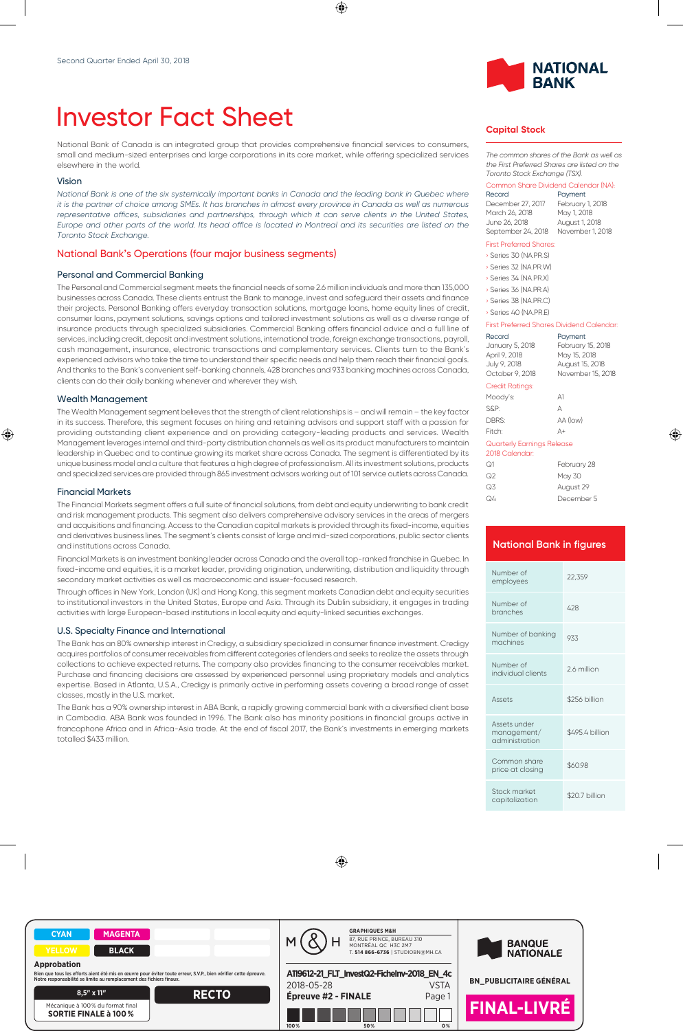# Investor Fact Sheet

National Bank of Canada is an integrated group that provides comprehensive financial services to consumers, small and medium-sized enterprises and large corporations in its core market, while offering specialized services elsewhere in the world.

#### Vision

*National Bank is one of the six systemically important banks in Canada and the leading bank in Quebec where it is the partner of choice among SMEs. It has branches in almost every province in Canada as well as numerous* representative offices, subsidiaries and partnerships, through which it can serve clients in the United States, *Europe and other parts of the world. Its head office is located in Montreal and its securities are listed on the Toronto Stock Exchange.*

## National Bank's Operations (four major business segments)

## Personal and Commercial Banking

The Personal and Commercial segment meets the financial needs of some 2.6 million individuals and more than 135,000 businesses across Canada. These clients entrust the Bank to manage, invest and safeguard their assets and finance their projects. Personal Banking offers everyday transaction solutions, mortgage loans, home equity lines of credit, consumer loans, payment solutions, savings options and tailored investment solutions as well as a diverse range of insurance products through specialized subsidiaries. Commercial Banking offers financial advice and a full line of services, including credit, deposit and investment solutions, international trade, foreign exchange transactions, payroll, cash management, insurance, electronic transactions and complementary services. Clients turn to the Bank's experienced advisors who take the time to understand their specific needs and help them reach their financial goals. And thanks to the Bank's convenient self-banking channels, 428 branches and 933 banking machines across Canada, clients can do their daily banking whenever and wherever they wish.

#### Wealth Management

The Wealth Management segment believes that the strength of client relationships is – and will remain – the key factor in its success. Therefore, this segment focuses on hiring and retaining advisors and support staff with a passion for providing outstanding client experience and on providing category-leading products and services. Wealth Management leverages internal and third-party distribution channels as well as its product manufacturers to maintain leadership in Quebec and to continue growing its market share across Canada. The segment is differentiated by its unique business model and a culture that features a high degree of professionalism. All its investment solutions, products and specialized services are provided through 865 investment advisors working out of 101 service outlets across Canada.

## Financial Markets

The Financial Markets segment offers a full suite of financial solutions, from debt and equity underwriting to bank credit and risk management products. This segment also delivers comprehensive advisory services in the areas of mergers and acquisitions and financing. Access to the Canadian capital markets is provided through its fixed-income, equities and derivatives business lines. The segment's clients consist of large and mid-sized corporations, public sector clients and institutions across Canada.

Financial Markets is an investment banking leader across Canada and the overall top-ranked franchise in Quebec. In fixed-income and equities, it is a market leader, providing origination, underwriting, distribution and liquidity through secondary market activities as well as macroeconomic and issuer-focused research.

Through offices in New York, London (UK) and Hong Kong, this segment markets Canadian debt and equity securities to institutional investors in the United States, Europe and Asia. Through its Dublin subsidiary, it engages in trading activities with large European-based institutions in local equity and equity-linked securities exchanges.

#### U.S. Specialty Finance and International

The Bank has an 80% ownership interest in Credigy, a subsidiary specialized in consumer finance investment. Credigy acquires portfolios of consumer receivables from different categories of lenders and seeks to realize the assets through collections to achieve expected returns. The company also provides financing to the consumer receivables market. Purchase and financing decisions are assessed by experienced personnel using proprietary models and analytics expertise. Based in Atlanta, U.S.A., Credigy is primarily active in performing assets covering a broad range of asset classes, mostly in the U.S. market.

The Bank has a 90% ownership interest in ABA Bank, a rapidly growing commercial bank with a diversified client base in Cambodia. ABA Bank was founded in 1996. The Bank also has minority positions in financial groups active in francophone Africa and in Africa-Asia trade. At the end of fiscal 2017, the Bank's investments in emerging markets totalled \$433 million.



### **Capital Stock**

*The common shares of the Bank as well as the First Preferred Shares are listed on the Toronto Stock Exchange (TSX).*

#### Common Share Dividend Calendar (NA):

| Record             | Payment          |
|--------------------|------------------|
| December 27, 2017  | February 1, 2018 |
| March 26, 2018     | May 1, 2018      |
| June 26, 2018      | August 1, 2018   |
| September 24, 2018 | November 1, 2018 |

#### First Preferred Shares:

|  | Series 30 (NA.PR.S) |
|--|---------------------|
|  | Series 32 (NA.PR.W) |

- › Series 34 (NA.PR.X)
- › Series 36 (NA.PR.A)
- › Series 38 (NA.PR.C) › Series 40 (NA.PR.E)

#### First Preferred Shares Dividend Calendar:

| First Preferred Shares Dividend Calendar                                      |                                                                                      |
|-------------------------------------------------------------------------------|--------------------------------------------------------------------------------------|
| Record<br>January 5, 2018<br>April 9, 2018<br>July 9, 2018<br>October 9, 2018 | Payment<br>February 15, 2018<br>May 15, 2018<br>August 15, 2018<br>November 15, 2018 |
| <b>Credit Ratings:</b>                                                        |                                                                                      |
| Moody's:                                                                      | A1                                                                                   |
| S&P:                                                                          | А                                                                                    |
| DBRS:                                                                         | AA (low)                                                                             |
| Fitch:                                                                        | Д+                                                                                   |
| Quarterly Earnings Release<br>2018 Calendar:                                  |                                                                                      |

| ೧1 | February 28 |
|----|-------------|
| ೧2 | May 30      |
| Q3 | August 29   |
| Q4 | December 5  |
|    |             |

# **National Bank in figures** Number of Number of 22,359<br>employees 22,359 Number of Number of the 428 Apple 428 Number of banking Number of banking 933 Number of individual clients 2.6 million Assets \$256 billion Assets under management/ administration \$495.4 billion Common share common share<br>price at closing \$60.98 Stock market stock market<br>capitalization \$20.7 billion